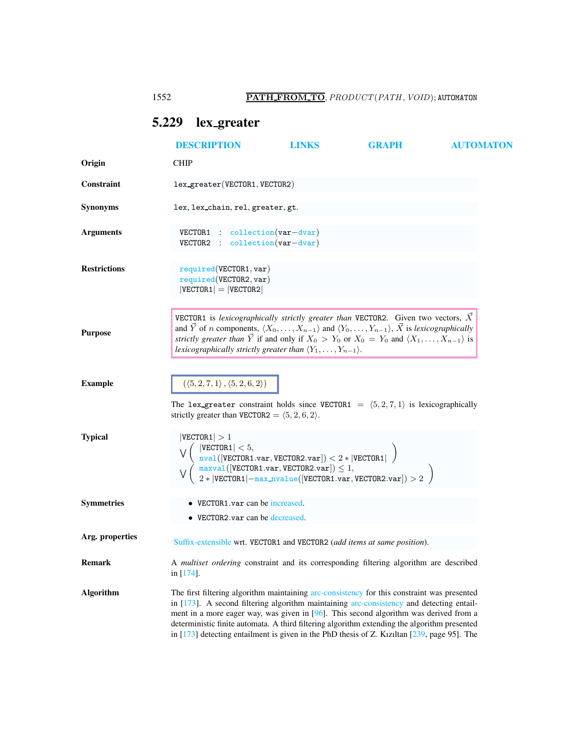## <span id="page-0-0"></span>5.229 lex greater

|                     | <b>DESCRIPTION</b>                                                                                                                                                                                                                                                                                                                                                                                                                                                                 | LINKS                                                                                                 | GRAPH                                                                                                                                                                                                                               | <b>AUTOMATON</b> |
|---------------------|------------------------------------------------------------------------------------------------------------------------------------------------------------------------------------------------------------------------------------------------------------------------------------------------------------------------------------------------------------------------------------------------------------------------------------------------------------------------------------|-------------------------------------------------------------------------------------------------------|-------------------------------------------------------------------------------------------------------------------------------------------------------------------------------------------------------------------------------------|------------------|
| Origin              | <b>CHIP</b>                                                                                                                                                                                                                                                                                                                                                                                                                                                                        |                                                                                                       |                                                                                                                                                                                                                                     |                  |
| <b>Constraint</b>   | lex_greater(VECTOR1, VECTOR2)                                                                                                                                                                                                                                                                                                                                                                                                                                                      |                                                                                                       |                                                                                                                                                                                                                                     |                  |
| <b>Synonyms</b>     | lex, lex_chain, rel, greater, gt.                                                                                                                                                                                                                                                                                                                                                                                                                                                  |                                                                                                       |                                                                                                                                                                                                                                     |                  |
| <b>Arguments</b>    | $VECTOR1$ : collection $(var-dvar)$<br>VECTOR2 : collection(var-dvar)                                                                                                                                                                                                                                                                                                                                                                                                              |                                                                                                       |                                                                                                                                                                                                                                     |                  |
| <b>Restrictions</b> | required(VECTOR1, var)<br>required(VECTOR2, var)<br>$ VECTOR1  =  VECTOR2 $                                                                                                                                                                                                                                                                                                                                                                                                        |                                                                                                       |                                                                                                                                                                                                                                     |                  |
| <b>Purpose</b>      | <b>VECTOR1</b> is lexicographically strictly greater than VECTOR2. Given two vectors, $\vec{X}$<br>and $\vec{Y}$ of <i>n</i> components, $\langle X_0, \ldots, X_{n-1} \rangle$ and $\langle Y_0, \ldots, Y_{n-1} \rangle$ , $\vec{X}$ is lexicographically<br>strictly greater than $\overrightarrow{Y}$ if and only if $X_0 > Y_0$ or $X_0 = Y_0$ and $\langle X_1, \ldots, X_{n-1} \rangle$ is<br>lexicographically strictly greater than $\langle Y_1,\ldots,Y_{n-1}\rangle$ . |                                                                                                       |                                                                                                                                                                                                                                     |                  |
| <b>Example</b>      | $(\langle 5, 2, 7, 1 \rangle, \langle 5, 2, 6, 2 \rangle)$<br>The lex greater constraint holds since VECTOR1 = $(5,2,7,1)$ is lexicographically<br>strictly greater than VECTOR2 = $(5, 2, 6, 2)$ .                                                                                                                                                                                                                                                                                |                                                                                                       |                                                                                                                                                                                                                                     |                  |
| <b>Typical</b>      | VECTOR1  > 1<br>$ \texttt{VECTOR1}  < 5,$                                                                                                                                                                                                                                                                                                                                                                                                                                          | $\texttt{null}([\texttt{VECTOR1}.\texttt{var},\texttt{VECTOR2}.\texttt{var}]) < 2* \texttt{VECTOR1} $ | $\begin{array}{l} \frac{\texttt{maxval}}{\texttt{val}}([\texttt{VECTOR1.var}, \texttt{VECTOR2.var}]) \leq 1,\\ 2 *  \texttt{VECTOR1}  - \frac{\texttt{max\_nvalue}}{ \texttt{VECTOR1.var}, \texttt{VECTOR2.var}]}) > 2 \end{array}$ |                  |
| <b>Symmetries</b>   | • VECTOR1.var can be increased.<br>$\bullet$ VECTOR2.var can be decreased.                                                                                                                                                                                                                                                                                                                                                                                                         |                                                                                                       |                                                                                                                                                                                                                                     |                  |
| Arg. properties     | Suffix-extensible wrt. VECTOR1 and VECTOR2 (add items at same position).                                                                                                                                                                                                                                                                                                                                                                                                           |                                                                                                       |                                                                                                                                                                                                                                     |                  |
| Remark              | A multiset ordering constraint and its corresponding filtering algorithm are described<br>in [174].                                                                                                                                                                                                                                                                                                                                                                                |                                                                                                       |                                                                                                                                                                                                                                     |                  |
| <b>Algorithm</b>    | The first filtering algorithm maintaining arc-consistency for this constraint was presented<br>in [173]. A second filtering algorithm maintaining arc-consistency and detecting entail-<br>ment in a more eager way, was given in $[96]$ . This second algorithm was derived from a<br>deterministic finite automata. A third filtering algorithm extending the algorithm presented<br>in [173] detecting entailment is given in the PhD thesis of Z. Kızıltan [239, page 95]. The |                                                                                                       |                                                                                                                                                                                                                                     |                  |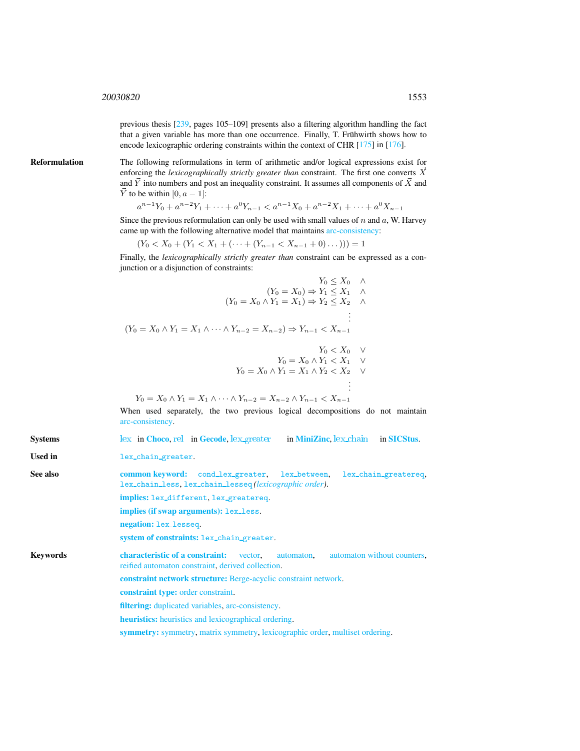previous thesis [239, pages 105–109] presents also a filtering algorithm handling the fact that a given variable has more than one occurrence. Finally, T. Frühwirth shows how to encode lexicographic ordering constraints within the context of CHR [175] in [176].

Reformulation The following reformulations in term of arithmetic and/or logical expressions exist for enforcing the *lexicographically strictly greater than* constraint. The first one converts  $\vec{X}$ and  $\vec{Y}$  into numbers and post an inequality constraint. It assumes all components of  $\vec{X}$  and  $\vec{Y}$  to be within [0,  $a - 1$ ]:

$$
a^{n-1}Y_0 + a^{n-2}Y_1 + \dots + a^0Y_{n-1} < a^{n-1}X_0 + a^{n-2}X_1 + \dots + a^0X_{n-1}
$$

Since the previous reformulation can only be used with small values of  $n$  and  $a$ , W. Harvey came up with the following alternative model that maintains arc-consistency:

 $(Y_0 < X_0 + (Y_1 < X_1 + (\cdots + (Y_{n-1} < X_{n-1} + 0) \dots))) = 1$ 

Finally, the *lexicographically strictly greater than* constraint can be expressed as a conjunction or a disjunction of constraints:

$$
Y_0 \le X_0 \quad \wedge
$$
  
\n
$$
(Y_0 = X_0) \Rightarrow Y_1 \le X_1 \quad \wedge
$$
  
\n
$$
(Y_0 = X_0 \land Y_1 = X_1) \Rightarrow Y_2 \le X_2 \quad \wedge
$$
  
\n
$$
\vdots
$$
  
\n
$$
(Y_0 = X_0 \land Y_1 = X_1 \land \dots \land Y_{n-2} = X_{n-2}) \Rightarrow Y_{n-1} < X_{n-1}
$$
  
\n
$$
Y_0 < X_0 \quad \vee
$$
  
\n
$$
Y_0 = X_0 \land Y_1 < X_1 \quad \vee
$$

$$
Y_0 = X_0 \wedge Y_1 = X_1 \wedge Y_2 < X_2 \quad \vee \quad \vdots
$$

$$
Y_0 = X_0 \wedge Y_1 = X_1 \wedge \dots \wedge Y_{n-2} = X_{n-2} \wedge Y_{n-1} < X_{n-1}
$$

When used separately, the two previous logical decompositions do not maintain arc-consistency.

Systems [lex](http://www.emn.fr/z-info/choco-solver/tex/documentation/choco-doc.pdf) in [Choco](http://choco.emn.fr/), [rel](http://www.gecode.org/doc/3.7.0/reference/group__TaskModelIntRelInt.html) in [Gecode](http://www.gecode.org/), lex [greater](http://www.g12.cs.mu.oz.au/minizinc/downloads/doc-1.4/mzn-globals.html#lex_greater) in [MiniZinc](http://www.g12.cs.mu.oz.au/minizinc/), lex chain in [SICStus](http://www.sics.se/sicstus/).

<span id="page-1-0"></span>Used in lex\_chain\_greater.

See also common keyword: cond\_lex\_greater, lex\_between, lex\_chain\_greatereq, lex chain less, lex chain lesseq *(lexicographic order)*.

implies: lex different, lex greatereq.

implies (if swap arguments): lex\_less.

negation: lex lesseq.

system of constraints: lex\_chain\_greater.

Keywords characteristic of a constraint: vector, automaton, automaton without counters, reified automaton constraint, derived collection.

constraint network structure: Berge-acyclic constraint network.

constraint type: order constraint.

filtering: duplicated variables, arc-consistency.

heuristics: heuristics and lexicographical ordering.

symmetry: symmetry, matrix symmetry, lexicographic order, multiset ordering.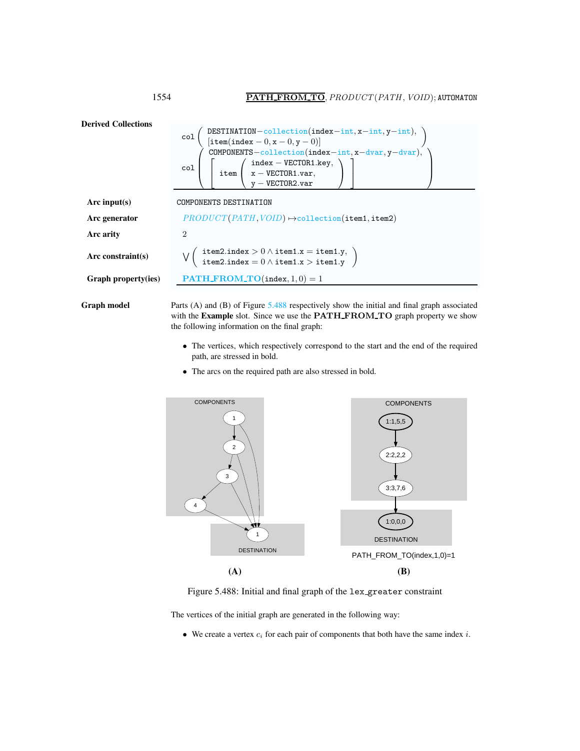

Graph model Parts (A) and (B) of Figure [5.488](#page-2-1) respectively show the initial and final graph associated with the Example slot. Since we use the PATH\_FROM\_TO graph property we show the following information on the final graph:

- The vertices, which respectively correspond to the start and the end of the required path, are stressed in bold.
- The arcs on the required path are also stressed in bold.



<span id="page-2-1"></span>Figure 5.488: Initial and final graph of the lex greater constraint

The vertices of the initial graph are generated in the following way:

• We create a vertex  $c_i$  for each pair of components that both have the same index  $i$ .

<span id="page-2-0"></span>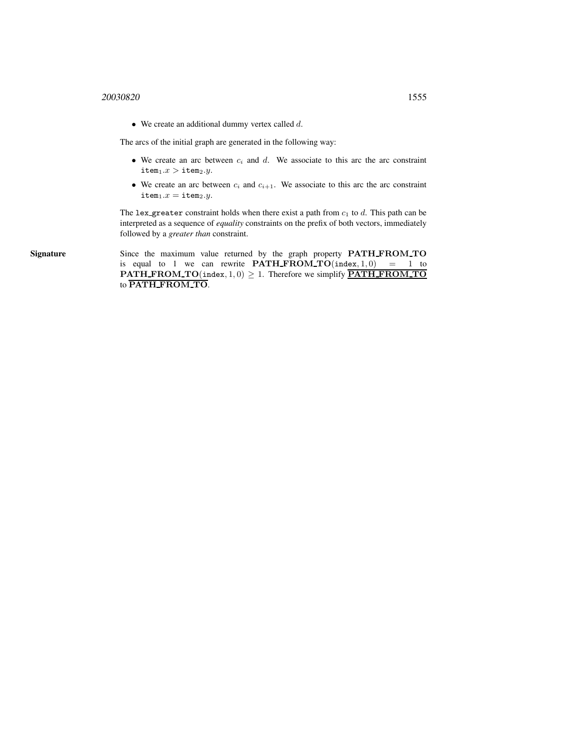$\bullet$  We create an additional dummy vertex called  $d$ .

The arcs of the initial graph are generated in the following way:

- We create an arc between  $c_i$  and  $d$ . We associate to this arc the arc constraint  $\texttt{item}_1.x > \texttt{item}_2.y.$
- We create an arc between  $c_i$  and  $c_{i+1}$ . We associate to this arc the arc constraint  $item_1.x = item_2.y.$

The lex greater constraint holds when there exist a path from  $c_1$  to d. This path can be interpreted as a sequence of *equality* constraints on the prefix of both vectors, immediately followed by a *greater than* constraint.

Signature Since the maximum value returned by the graph property PATH\_FROM\_TO is equal to 1 we can rewrite  $\textbf{PATH\_FROM\_TO}(\texttt{index}, 1, 0) = 1$  to **PATH\_FROM\_TO**(index,  $1, 0$ )  $\geq 1$ . Therefore we simplify **PATH\_FROM\_TO** to PATH FROM TO.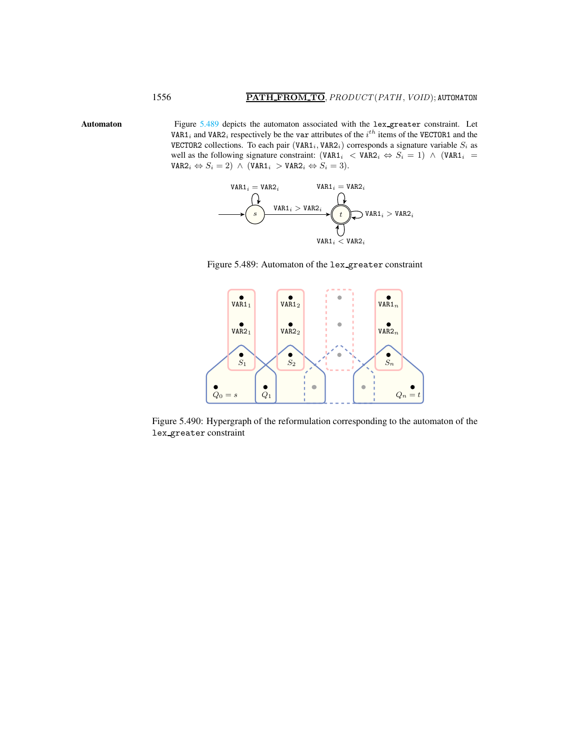Automaton Figure [5.489](#page-4-1) depicts the automaton associated with the lex-greater constraint. Let VAR1<sub>i</sub> and VAR2<sub>i</sub> respectively be the var attributes of the  $i^{th}$  items of the VECTOR1 and the VECTOR2 collections. To each pair (VAR1<sub>i</sub>, VAR2<sub>i</sub>) corresponds a signature variable  $S_i$  as well as the following signature constraint:  $(\texttt{VAR1}_i \lt \texttt{VAR2}_i \Leftrightarrow S_i = 1) \wedge (\texttt{VAR1}_i =$  $\mathtt{VAR2}_i \Leftrightarrow S_i = 2) \wedge (\mathtt{VAR1}_i > \mathtt{VAR2}_i \Leftrightarrow S_i = 3).$ 



<span id="page-4-1"></span>Figure 5.489: Automaton of the lex greater constraint



Figure 5.490: Hypergraph of the reformulation corresponding to the automaton of the lex greater constraint

<span id="page-4-0"></span>